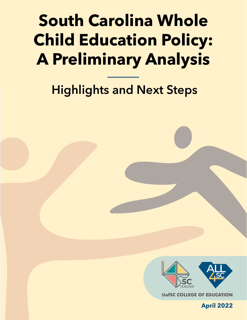## **South Carolina Whole Child Education Policy: A Preliminary Analysis**

## **Highlights and Next Steps**



**UofSC COLLEGE OF EDUCATION** 

**April 2022**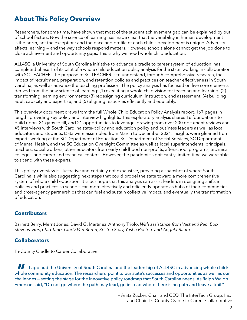### **About This Policy Overview**

Researchers, for some time, have shown that most of the student achievement gap can be explained by out of school factors. Now the science of learning has made clear that the variability in human development is the norm, not the exception; and the pace and profile of each child's development is unique. Adversity affects learning — and the way schools respond matters. However, schools alone cannot get the job done to close achievement and opportunity gaps. This is why we need whole child education.

ALL4SC, a University of South Carolina initiative to advance a cradle to career system of education, has completed phase 1 of its pilot of a whole child education policy analysis for the state, working in collaboration with SC-TEACHER. The purpose of SC-TEACHER is to understand, through comprehensive research, the impact of recruitment, preparation, and retention policies and practices on teacher effectiveness in South Carolina, as well as advance the teaching profession. The policy analysis has focused on five core elements derived from the new science of learning: (1) executing a whole child vision for teaching and learning; (2) transforming learning environments; (3) redesigning curriculum, instruction, and assessment; (4) building adult capacity and expertise; and (5) aligning resources efficiently and equitably.

This overview document draws from the full Whole Child Education Policy Analysis report, 167 pages in length, providing key policy and interview highlights. This exploratory analysis shares 16 foundations to build upon, 21 gaps to fill, and 21 opportunities to leverage, drawing from over 200 document reviews and 45 interviews with South Carolina state-policy and education policy and business leaders as well as local educators and students. Data were assembled from March to December 2021. Insights were gleaned from experts working at the SC Department of Education, SC Department of Social Services, SC Department of Mental Health, and the SC Education Oversight Committee as well as local superintendents, principals, teachers, social workers, other educators from early childhood non-profits, afterschool programs, technical colleges, and career and technical centers. However, the pandemic significantly limited time we were able to spend with these experts.

This policy overview is illustrative and certainly not exhaustive, providing a snapshot of where South Carolina is while also suggesting next steps that could propel the state toward a more comprehensive system of whole child education. It is our hope that this analysis can assist leaders in designing shifts in policies and practices so schools can more effectively and efficiently operate as hubs of their communities and cross-agency partnerships that can fuel and sustain collective impact, and eventually the transformation of education.

#### **Contributors**

Barnett Berry, Merrit Jones, Davíd G. Martínez, Anthony Triolo. *With assistance from Vashanti Rao, Bob Stevens, Heng-Tao Tang, Cindy Van Buren, Kristen Seay, Yasha Becton, and Angela Baum.* 

#### **Collaborators**

Tri-County Cradle to Career Collaborative

 whole community education. The researchers point to our state's successes and opportunities as well as our I applaud the University of South Carolina and the leadership of ALL4SC in advancing whole child/ challenges — setting the stage for the innovative policy roadmap that South Carolina needs. As Ralph Waldo Emerson said, "Do not go where the path may lead, go instead where there is no path and leave a trail."

> – Anita Zucker, Chair and CEO, The InterTech Group, Inc., and Chair, Tri-County Cradle to Career Collaborative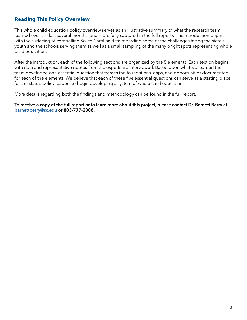#### **Reading This Policy Overview**

 learned over the last several months (and more fully captured in the full report). The introduction begins This whole child education policy overview serves as an illustrative summary of what the research team with the surfacing of compelling South Carolina data regarding some of the challenges facing the state's youth and the schools serving them as well as a small sampling of the many bright spots representing whole child education.

After the introduction, each of the following sections are organized by the 5 elements. Each section begins with data and representative quotes from the experts we interviewed. Based upon what we learned the team developed one essential question that frames the foundations, gaps, and opportunities documented for each of the elements. We believe that each of these five essential questions can serve as a starting place for the state's policy leaders to begin developing a system of whole child education.

More details regarding both the findings and methodology can be found in the full report.

**To receive a copy of the full report or to learn more about this project, please contact Dr. Barnett Berry at [barnettberry@sc.edu](mailto:barnettberry@sc.edu) or 803-777-2008.**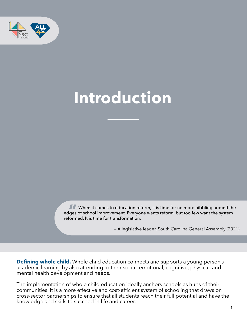

## **Introduction**

When it comes to education reform, it is time for no more nibbling around the edges of school improvement. Everyone wants reform, but too few want the system reformed. It is time for transformation.

— A legislative leader, South Carolina General Assembly (2021)

**Defining whole child.** Whole child education connects and supports a young person's academic learning by also attending to their social, emotional, cognitive, physical, and mental health development and needs.

The implementation of whole child education ideally anchors schools as hubs of their communities. It is a more effective and cost-efficient system of schooling that draws on cross-sector partnerships to ensure that all students reach their full potential and have the knowledge and skills to succeed in life and career.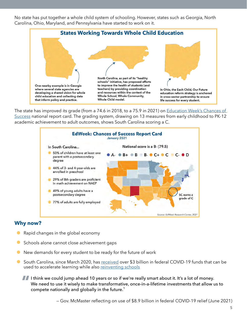No state has put together a whole child system of schooling. However, states such as Georgia, North Carolina, Ohio, Maryland, and Pennsylvania have started to work on it.



The state has improved its grade (from a 74.6 in 2018, to a 75.9 in 2021) on [Education Week's Chances of](https://www.edweek.org/policy-politics/state-grades-on-chance-for-success-2021-map-and-rankings/2021/01) [Success](https://www.edweek.org/policy-politics/state-grades-on-chance-for-success-2021-map-and-rankings/2021/01) national report card. The grading system, drawing on 13 measures from early childhood to PK-12 academic achievement to adult outcomes, shows South Carolina scoring a C.



#### **Why now?**

- Rapid changes in the global economy  $\bullet$
- Schools alone cannot close achievement gaps
- New demands for every student to be ready for the future of work  $\bullet$
- South Carolina, since March 2020, has [received](https://ed.sc.gov/newsroom/esser-fact-sheet/) over \$3 billion in federal COVID-19 funds that can be used to accelerate learning while also reinventing schools
	- I think we could jump ahead 10 years or so if we're really smart about it. It's a lot of money. We need to use it wisely to make transformative, once-in-a-lifetime investments that allow us to compete nationally and globally in the future.<sup>1</sup>

— Gov. McMaster reflecting on use of \$8.9 billion in federal COVID-19 relief (June 2021)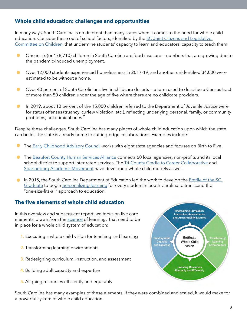#### **Whole child education: challenges and opportunities**

In many ways, South Carolina is no different than many states when it comes to the need for whole child education. Consider these out of school factors, identified by the SC Joint Citizens and Legislative [Committee on Children](https://www.sccommitteeonchildren.org/_files/ugd/587cb7_2d3f3aa9ac564b018424628a406b08c9.pdf), that undermine students' capacity to learn and educators' capacity to teach them.

- One in six (or 178,710) children in South Carolina are food insecure numbers that are growing due to  $\bullet$ the pandemic-induced unemployment.
- Over 12,000 students experienced homelessness in 2017-19, and another unidentified 34,000 were  $\bullet$ estimated to be without a home.
- Over 40 percent of South Carolinians live in childcare deserts a term used to describe a Census tract  $\bullet$ of more than 50 children under the age of five where there are no childcare providers.
- $\bullet$ In 2019, about 10 percent of the 15,000 children referred to the Department of Juvenile Justice were for status offenses (truancy, curfew violation, etc.), reflecting underlying personal, family, or community problems, not criminal ones.<sup>2</sup>

Despite these challenges, South Carolina has many pieces of whole child education upon which the state can build. The state is already home to cutting-edge collaborations. Examples include:

- The **[Early Childhood Advisory Council](https://earlychildhoodsc.org)** works with eight state agencies and focuses on Birth to Five.  $\bullet$
- $\bullet$ The [Beaufort County Human Services Alliance](https://www.beaufortcountysc.gov/human-services/human-services-alliance-homepage.html) connects 60 local agencies, non-profits and its local school district to support integrated services. The [Tri-County Cradle to Career Collaborative](http://tricountycradletocareer.org) and [Spartanburg Academic Movement](https://www.learnwithsam.org) have developed whole child models as well.
- **In 2015, the South Carolina Department of Education led the work to develop the Profile of the SC** [Graduate](https://sccompetes.org/state-board-of-education-adopts-transformscs-profile-of-the-graduate/) to begin [personalizing learning](https://personalizesc.ed.sc.gov) for every student in South Carolina to transcend the "one-size-fits-all" approach to education.

#### **The five elements of whole child education**

 In this overview and subsequent report, we focus on five core elements, drawn from the [science](https://learningpolicyinstitute.org/sites/default/files/product-files/SoLD_Design_Principles_REPORT.pdf) of learning, that need to be in place for a whole child system of education:

- **1.** Executing a whole child vision for teaching and learning
- **2.** Transforming learning environments
- **3.** Redesigning curriculum, instruction, and assessment
- **4.** Building adult capacity and expertise
- **5.** Aligning resources efficiently and equitably

**Redesigning Curriculum, Instruction, Assessments,** and Accountability Systems Setting a **Building Adult Whole Child** Capacity<br>and Expertise arning **Vision Investing Resources Equitably and Efficiently** 

South Carolina has many examples of these elements. If they were combined and scaled, it would make for a powerful system of whole child education.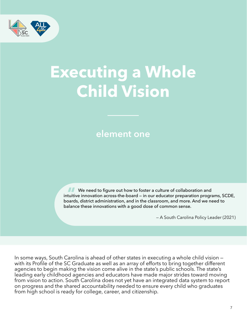

## **Executing a Whole Child Vision**

### **element one**

**We need to figure out how to foster a culture of collaboration and** intuitive innovation across-the-board — in our educator preparation programs, SCDE, boards, district administration, and in the classroom, and more. And we need to balance these innovations with a good dose of common sense.

— A South Carolina Policy Leader (2021)

In some ways, South Carolina is ahead of other states in executing a whole child vision with its Profile of the SC Graduate as well as an array of efforts to bring together different agencies to begin making the vision come alive in the state's public schools. The state's leading early childhood agencies and educators have made major strides toward moving from vision to action. South Carolina does not yet have an integrated data system to report on progress and the shared accountability needed to ensure every child who graduates from high school is ready for college, career, and citizenship.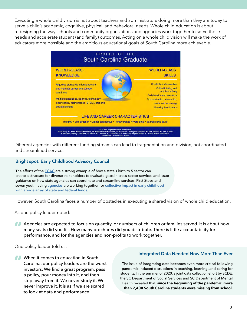Executing a whole child vision is not about teachers and administrators doing more than they are today to serve a child's academic, cognitive, physical, and behavioral needs. Whole child education is about redesigning the way schools and community organizations and agencies work together to serve those needs and accelerate student (and family) outcomes. Acting on a whole child vision will make the work of educators more possible and the ambitious educational goals of South Carolina more achievable.



Different agencies with different funding streams can lead to fragmentation and division, not coordinated and streamlined services.

#### **Bright spot: Early Childhood Advisory Council**

The efforts of the **[ECAC](https://earlychildhoodsc.org)** are a strong example of how a state's birth to 5 sector can create a structure for diverse stakeholders to evaluate gaps in cross-sector services and issue guidance on how state agencies can coordinate and streamline services. First Steps and seven youth facing [agencies](https://earlychildhoodsc.org/who-we-are/about-us/) are working together for [collective impact in early childhood](https://earlychildhoodsc.org/media/oirjsxcg/flow-of-with-ic_51460949.pdf)  [with a wide array of state and federal funds](https://earlychildhoodsc.org/media/oirjsxcg/flow-of-with-ic_51460949.pdf).

However, South Carolina faces a number of obstacles in executing a shared vision of whole child education.

As one policy leader noted:

Agencies are expected to focus on quantity, or numbers of children or families served. It is about how many seats did you fill. How many brochures did you distribute. There is little accountability for performance, and for the agencies and non-profits to work together.

One policy leader told us:

to look at data and performance.

### **Integrated Data Needed Now More Than Ever** When it comes to education in South

Carolina, our policy leaders are the worst The issue of integrating data becomes even more critical following investors. We find a great program, pass pandemic-induced disruptions in teaching, learning, and caring for<br>a policy pour money into it and then students. In the summer of 2020, a joint data collection effort by SCDE, a policy, pour money into it, and then<br>step away from it. We never study it. We<br>never improve it. It is as if we are scared<br>health revealed that, since the beginning of the pandemic, more<br>than 7,400 South Carolina students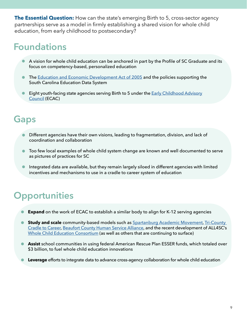**The Essential Question:** How can the state's emerging Birth to 5, cross-sector agency partnerships serve as a model in firmly establishing a shared vision for whole child education, from early childhood to postsecondary?

## **Foundations**

- A vision for whole child education can be anchored in part by the Profile of SC Graduate and its focus on competency-based, personalized education
- **The [Education and Economic Development Act of 2005](https://www.scstatehouse.gov/sess116_2005-2006/bills/3155.htm) and the policies supporting the** South Carolina Education Data System
- Eight youth-facing state agencies serving Birth to 5 under the **Early Childhood Advisory** [Council](https://earlychildhoodsc.org) (ECAC)

### **Gaps**

- Different agencies have their own visions, leading to fragmentation, division, and lack of coordination and collaboration
- Too few local examples of whole child system change are known and well documented to serve as pictures of practices for SC
- Integrated data are available, but they remain largely siloed in different agencies with limited incentives and mechanisms to use in a cradle to career system of education

- **Expand** on the work of ECAC to establish a similar body to align for K-12 serving agencies
- [Cradle to Career,](http://tricountycradletocareer.org) [Beaufort County Human Service Alliance](https://www.beaufortcountysc.gov/human-services/human-services-alliance-homepage.html), and the recent development of ALL4SC's **Study and scale** community-based models such as [Spartanburg Academic Movement](https://www.learnwithsam.org), Tri-County [Whole Child Education Consortium](https://sc.edu/study/colleges_schools/education/partnerships_outreach/all4sc/projects/whole_child_education_consortium/index.php#:~:text=The%20Whole%20Child%20Education%20Consortium,Workforce)%20strategy%20for%20the%20state.) (as well as others that are continuing to surface)
- **Assist** school communities in using federal American Rescue Plan ESSER funds, which totaled over \$3 billion, to fuel whole child education innovations
- **Leverage** efforts to integrate data to advance cross-agency collaboration for whole child education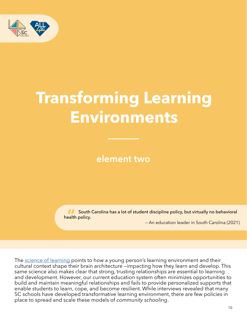

## **Transforming Learning Environments**

**element two** 

South Carolina has a lot of student discipline policy, but virtually no behavioral health policy.

— An education leader in South Carolina (2021)

The [science of learning](https://www.soldalliance.org/what-weve-learned) points to how a young person's learning environment and their cultural context shape their brain architecture —impacting how they learn and develop. This same science also makes clear that strong, trusting relationships are essential to learning and development. However, our current education system often minimizes opportunities to build and maintain meaningful relationships and fails to provide personalized supports that enable students to learn, cope, and become resilient. While interviews revealed that many SC schools have developed transformative learning environment, there are few policies in place to spread and scale these models of *community schooling*.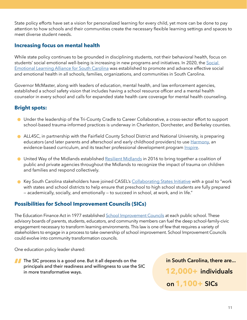State policy efforts have set a vision for personalized learning for every child, yet more can be done to pay attention to how schools and their communities create the necessary flexible learning settings and spaces to meet diverse student needs.

#### **Increasing focus on mental health**

While state policy continues to be grounded in disciplining students, not their behavioral health, focus on students' social emotional well-being is increasing in new programs and initiatives. In 2020, the [Social](https://sel4sc.org)  [Emotional Learning Alliance for South Carolina](https://sel4sc.org) was established to promote and advance effective social and emotional health in all schools, families, organizations, and communities in South Carolina.

 Governor McMaster, along with leaders of education, mental health, and law enforcement agencies, established a school safety vision that includes having a school resource officer and a mental health counselor in every school and calls for expanded state health care coverage for mental health counseling.

#### **Bright spots:**

- Under the leadership of the Tri-County Cradle to Career Collaborative, a cross-sector effort to support school-based trauma-informed practices is underway in Charleston, Dorchester, and Berkeley counties.
- ALL4SC, in partnership with the Fairfield County School District and National University, is preparing educators (and later parents and afterschool and early childhood providers) to use [Harmony](https://www.harmonysel.org), an evidence-based curriculum, and its teacher professional development program *Inspire*.
- **O** United Way of the Midlands established [Resilient Midlands](https://www.uway.org/our-causes/stability/childhood-trauma) in 2016 to bring together a coalition of public and private agencies throughout the Midlands to recognize the impact of trauma on children and families and respond collectively.
- **•** Key South Carolina stakeholders have joined CASEL's [Collaborating States Initiative](https://casel.org/systemic-implementation/sel-policy-at-the-state-level/) with a goal to "work with states and school districts to help ensure that preschool to high school students are fully prepared — academically, socially, and emotionally — to succeed in school, at work, and in life."

#### **Possibilities for School Improvement Councils (SICs)**

The Education Finance Act in 1977 established <u>School Improvement Councils</u> at each public school. These advisory boards of parents, students, educators, and community members can fuel the deep school-family-civic engagement necessary to transform learning environments. This law is one of few that requires a variety of stakeholders to engage in a process to take ownership of school improvement. School Improvement Councils could evolve into community transformation councils.

One education policy leader shared:

The SIC process is a good one. But it all depends on the **in South Carolina, there are...**  $\boldsymbol{\mathcal{L}}$ principals and their readiness and willingness to use the SIC in more transformative ways. **12,000+ individuals**

 **on 1,100+ SICs**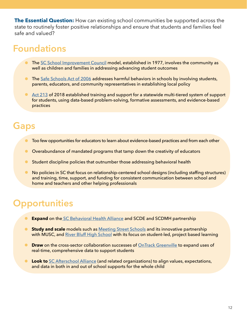**The Essential Question:** How can existing school communities be supported across the state to routinely foster positive relationships and ensure that students and families feel safe and valued?

## **Foundations**

- The [SC School Improvement Council](https://sic.sc.gov) model, established in 1977, involves the community as well as children and families in addressing advancing student outcomes
- The <u>[Safe Schools Act of 2006](https://www.scstatehouse.gov/sess116_2005-2006/bills/3573.htm)</u> addresses harmful behaviors in schools by involving students, parents, educators, and community representatives in establishing local policy
- [Act 213](https://ed.sc.gov/instruction/early-learning-and-literacy/multi-tiered-system-of-supports-mtss/) of 2018 established training and support for a statewide multi-tiered system of support for students, using data-based problem-solving, formative assessments, and evidence-based practices

## **Gaps**

- Too few opportunities for educators to learn about evidence-based practices and from each other
- Overabundance of mandated programs that tamp down the creativity of educators
- Student discipline policies that outnumber those addressing behavioral health  $\bullet$
- No policies in SC that focus on relationship-centered school designs (including staffing structures) and training, time, support, and funding for consistent communication between school and home and teachers and other helping professionals

- **Expand** on the [SC Behavioral Health Alliance](https://schoolbehavioralhealth.org/basc/) and SCDE and SCDMH partnership
- **Study and scale** models such as [Meeting Street Schools](https://www.meetingstreetschools.org) and its innovative partnership  $\bullet$ with MUSC, and [River Bluff High School](https://www.lexington1.net/RBHS) with its focus on student-led, project based learning
- $\bullet$  **Draw** on the cross-sector collaboration successes of [OnTrack Greenville](http://ontrackgreenville.org) to expand uses of real-time, comprehensive data to support students
- **Look to** [SC Afterschool Alliance](http://www.scafterschool.com) (and related organizations) to align values, expectations,  $\bullet$ and data in both in and out of school supports for the whole child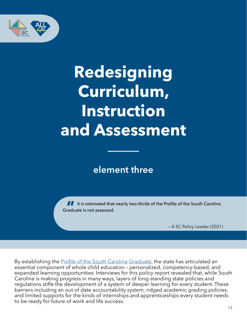

J

## **Redesigning Curriculum, Instruction and Assessment**

### **element three**

If it is estimated that nearly two-thirds of the Profile of the South Carolina Graduate is not assessed.

— A SC Policy Leader (2021)

 expanded learning opportunities. Interviews for this policy report revealed that, while South By establishing the **[Profile of the South Carolina Graduate](https://sccompetes.org/state-board-of-education-adopts-transformscs-profile-of-the-graduate/)**, the state has articulated an essential component of whole child education – personalized, competency-based, and Carolina is making progress in many ways, layers of long-standing state policies and regulations stifle the development of a system of deeper learning for every student. These barriers including an out of date accountability system, ridged academic grading policies, and limited supports for the kinds of internships and apprenticeships every student needs to be ready for future of work and life success.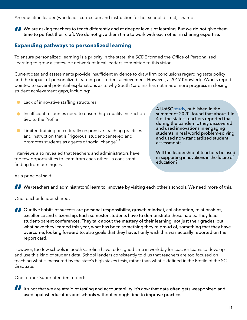An education leader (who leads curriculum and instruction for her school district), shared:

We are asking teachers to teach differently and at deeper levels of learning. But we do not give them time to perfect their craft. We do not give them time to work with each other in sharing expertise.

#### **Expanding pathways to personalized learning**

To ensure personalized learning is a priority in the state, the SCDE formed the Office of Personalized Learning to grow a statewide network of local leaders committed to this vision.

Current data and assessments provide insufficient evidence to draw firm conclusions regarding state policy and the impact of personalized learning on student achievement. However, a 2019 KnowledgeWorks report pointed to several potential explanations as to why South Carolina has not made more progress in closing student achievement gaps, including:

- **C** Lack of innovative staffing structures
- **Insufficient resources need to ensure high quality instruction** tied to the Profile
- **C** Limited training on culturally responsive teaching practices and instruction that is "rigorous, student-centered and promotes students as agents of social change" <sup>4</sup>

Interviews also revealed that teachers and administrators have too few opportunities to learn from each other— a consistent finding from our inquiry.

A UofSC [study](https://sc-teacher.org/wp-content/uploads/2020/08/TG_POLICY_FINAL_AUG5.pdf), published in the summer of 2020, found that about 1 in 4 of the state's teachers reported that during the pandemic they discovered and used innovations in engaging students in real world problem-solving and used non-standardized student assessments.

Will the leadership of teachers be used in supporting innovations in the future of education?

As a principal said:

We (teachers and administrators) learn to innovate by visiting each other's schools. We need more of this.

One teacher leader shared:

**OUT FIGURE 1** Our five habits of success are personal responsibility, growth mindset, collaboration, relationships, excellence and citizenship. Each semester students have to demonstrate these habits. They lead student-parent conferences. They talk about the mastery of their learning, not just their grades, but what have they learned this year, what has been something they're proud of, something that they have overcome, looking forward to, also goals that they have. I only wish this was actually reported on the report card.

However, too few schools in South Carolina have redesigned time in workday for teacher teams to develop and use this kind of student data. School leaders consistently told us that teachers are too focused on teaching what is measured by the state's high stakes tests, rather than what is defined in the Profile of the SC Graduate.

One former Superintendent noted:

If It's not that we are afraid of testing and accountability. It's *how* that data often gets weaponized and used against educators and schools without enough time to improve practice.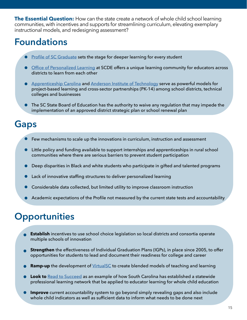**The Essential Question:** How can the state create a network of whole child school learning communities, with incentives and supports for streamlining curriculum, elevating exemplary instructional models, and redesigning assessment?

## **Foundations**

- **[Profile of SC Graduate](https://sck12techinit.sc.gov/about-us/profile-south-carolina-graduate) sets the stage for deeper learning for every student**
- **[Office of Personalized Learning](https://personalizesc.ed.sc.gov) at SCDE offers a unique learning community for educators across** districts to learn from each other
- **•** [Apprenticeship Carolina](https://www.apprenticeshipcarolina.com) and [Anderson Institute of Technology](https://www.anderson5.net/ait) serve as powerful models for project-based learning and cross-sector partnerships (PK-14) among school districts, technical colleges and businesses
- **•** The SC State Board of Education has the authority to waive any regulation that may impede the implementation of an approved district strategic plan or school renewal plan

## **Gaps**

- Few mechanisms to scale up the innovations in curriculum, instruction and assessment  $\bullet$
- Little policy and funding available to support internships and apprenticeships in rural school communities where there are serious barriers to prevent student participation
- Deep disparities in Black and white students who participate in gifted and talented programs
- Lack of innovative staffing structures to deliver personalized learning
- Considerable data collected, but limited utility to improve classroom instruction
- Academic expectations of the Profile not measured by the current state tests and accountability

- **Establish** incentives to use school choice legislation so local districts and consortia operate multiple schools of innovation
- **Strengthen** the effectiveness of Individual Graduation Plans (IGPs), in place since 2005, to offer opportunities for students to lead and document their readiness for college and career
- **Ramp-up** the development of *VirtualSC* to create blended models of teaching and learning
- **Look to** [Read to Succeed](https://ed.sc.gov/instruction/early-learning-and-literacy/read-to-succeed1/) as an example of how South Carolina has established a statewide professional learning network that be applied to educator learning for whole child education
- **Improve** current accountability system to go beyond simply revealing gaps and also include whole child indicators as well as sufficient data to inform what needs to be done next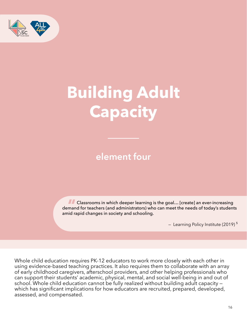

# **Building Adult Capacity**

## **element four**

 amid rapid changes in society and schooling. **ALC** Classrooms in which deeper learning is the goal... [create] an ever-increasing demand for teachers (and administrators) who can meet the needs of today's students

- Learning Policy Institute (2019)<sup>5</sup>

Whole child education requires PK-12 educators to work more closely with each other in using evidence-based teaching practices. It also requires them to collaborate with an array of early childhood caregivers, afterschool providers, and other helping professionals who can support their students' academic, physical, mental, and social well-being in and out of school. Whole child education cannot be fully realized without building adult capacity which has significant implications for how educators are recruited, prepared, developed, assessed, and compensated.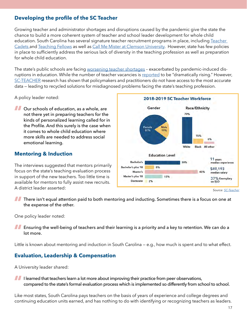#### **Developing the profile of the SC Teacher**

Growing teacher and administrator shortages and disruptions caused by the pandemic give the state the chance to build a more coherent system of teacher and school leader development for whole child education. South Carolina has several signature teacher recruitment programs in place, including [Teacher](https://www.teachercadets.com)  [Cadets](https://www.teachercadets.com) and [Teaching Fellows](https://www.cerra.org/teaching-fellows.html) as well as [Call Me Mister at Clemson University](https://www.clemson.edu/education/programs/programs/call-me-mister.html). However, state has few policies in place to sufficiently address the serious lack of diversity in the teaching profession as well as preparation for whole child education.

The state's public schools are facing [worsening teacher shortages](https://www.abccolumbia.com/2021/12/02/sc-teacher-shortage-at-highest-level-in-at-least-20-years/) – exacerbated by pandemic-induced disruptions in education. While the number of teacher vacancies is [reported](https://www.wistv.com/2021/11/30/number-unfilled-teaching-jobs-drastically-rising-south-carolina/) to be "dramatically rising." However, [SC-TEACHER](https://sc-teacher.org) research has shown that policymakers and practitioners do not have access to the most accurate data — leading to recycled solutions for misdiagnosed problems facing the state's teaching profession.

A policy leader noted:

**Our schools of education, as a whole, are** not there yet in preparing teachers for the kinds of personalized learning called for in the Profile. And this surely is the case when it comes to whole child education where more skills are needed to address social emotional learning.

#### **Mentoring & Induction**

The interviews suggested that mentors primarily focus on the state's teaching evaluation process in support of the new teachers. Too little time is available for mentors to fully assist new recruits. A district leader asserted:



**There isn't equal attention paid to both mentoring and inducting. Sometimes there is a focus on one at** the expense of the other.

One policy leader noted:

**Ensuring the well-being of teachers and their learning is a priority and a key to retention. We can do a** lot more.

Little is known about mentoring and induction in South Carolina — e.g., how much is spent and to what effect.

#### **Evaluation, Leadership & Compensation**

A University leader shared:

III learned that teachers learn a lot more about improving their practice from peer observations, compared to the state's formal evaluation process which is implemented so differently from school to school.

Like most states, South Carolina pays teachers on the basis of years of experience and college degrees and continuing education units earned, and has nothing to do with identifying or recognizing teachers as leaders.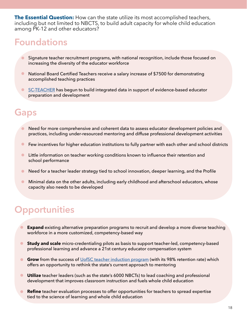**The Essential Question:** How can the state utilize its most accomplished teachers, including but not limited to NBCTS, to build adult capacity for whole child education among PK-12 and other educators?

### **Foundations**

- Signature teacher recruitment programs, with national recognition, include those focused on increasing the diversity of the educator workforce
- **National Board Certified Teachers receive a salary increase of \$7500 for demonstrating** accomplished teaching practices
- [SC-TEACHER](https://sc-teacher.org) has begun to build integrated data in support of evidence-based educator preparation and development

### **Gaps**

- Need for more comprehensive and coherent data to assess educator development policies and practices, including under-resourced mentoring and diffuse professional development activities
- **•** Few incentives for higher education institutions to fully partner with each other and school districts
- **I** Little information on teacher working conditions known to influence their retention and school performance
- Need for a teacher leader strategy tied to school innovation, deeper learning, and the Profile  $\bullet$
- $\bullet$ Minimal data on the other adults, including early childhood and afterschool educators, whose capacity also needs to be developed

- **Expand** existing alternative preparation programs to recruit and develop a more diverse teaching workforce in a more customized, competency-based way
- $\bullet$ **Study and scale** micro-credentialing pilots as basis to support teacher-led, competency-based professional learning and advance a 21st century educator compensation system
- **Grow** from the success of [UofSC teacher induction program](https://sc.edu/study/colleges_schools/education/my_coe/gamecock_edquarters/carolinatip/index.php) (with its 98% retention rate) which offers an opportunity to rethink the state's current approach to mentoring
- **Utilize** teacher leaders (such as the state's 6000 NBCTs) to lead coaching and professional development that improves classroom instruction and fuels whole child education
- **Refine** teacher evaluation processes to offer opportunities for teachers to spread expertise tied to the science of learning and whole child education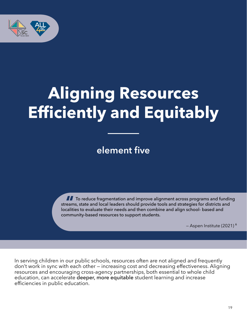

## **Aligning Resources Efficiently and Equitably**

**element five**

**TT** To reduce fragmentation and improve alignment across programs and funding streams, state and local leaders should provide tools and strategies for districts and localities to evaluate their needs and then combine and align school- based and community-based resources to support students.

— Aspen Institute (2021) <sup>6</sup>

In serving children in our public schools, resources often are not aligned and frequently don't work in sync with each other — increasing cost and decreasing effectiveness. Aligning resources and encouraging cross-agency partnerships, both essential to whole child education, can accelerate deeper, more equitable student learning and increase efficiencies in public education.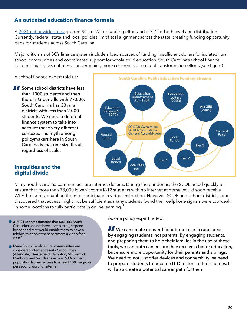#### **An outdated education finance formula**

 Currently, federal, state and local policies limit fiscal alignment across the state, creating funding opportunity A [2021 nationwide study](https://edlawcenter.org/research/making-the-grade-2021.html) graded SC an "A" for funding effort and a "C" for both level and distribution. gaps for students across South Carolina.

Major criticisms of SC's finance system include siloed sources of funding, insufficient dollars for isolated rural school communities and coordinated support for whole child education. South Carolina's school finance system is highly decentralized, undermining more coherent state school transformation efforts (see figure).

A school finance expert told us:

**Some school districts have less** than 1000 students and then there is Greenville with 77,000. South Carolina has 30 rural districts with less than 2,000 students. We need a different finance system to take into account these very different contexts. The myth among policymakers here in South Carolina is that one size fits all regardless of scale.



#### **Inequities and the digital divide**

 ensure that more than 73,000 lower-income K-12 students with no internet at home would soon receive discovered that access might not be sufficient as many students found their cellphone signals were too weak Many South Carolina communities are internet deserts. During the pandemic, the SCDE acted quickly to Wi-Fi hot spots, enabling them to participate in virtual instruction. However, SCDE and school districts soon in some locations to fully participate in online learning.<sup>7</sup>

- A 2021 report estimated that 400,000 South Carolinians do not have access to high speed broadband that would enable them to have a telehealth appointment or stream a video for a class 8
- **Many South Carolina rural communities are** considered internet deserts. Six counties (Allendale, Chesterfield, Hampton, McCormick, Marlboro, and Saluda) have over 60% of their population lacking access to at least 100 megabits per second worth of internet

As one policy expert noted:

 tools, we can both can ensure they receive a better education, We can create demand for internet use in rural areas by engaging students, not parents. By engaging students, and preparing them to help their families in the use of these but ensure more opportunity for their parents and siblings. We need to not just offer devices and connectivity we need to prepare students to become IT Directors of their homes. It will also create a potential career path for them.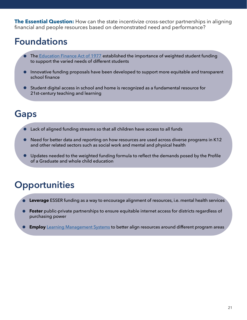**The Essential Question:** How can the state incentivize cross-sector partnerships in aligning financial and people resources based on demonstrated need and performance?

## **Foundations**

- The [Education Finance Act of 1977](https://ed.sc.gov/districts-schools/state-accountability/district-strategic-and-school-renewal-plans/education-finance-act-of-1977/) established the importance of weighted student funding to support the varied needs of different students
- Innovative funding proposals have been developed to support more equitable and transparent school finance
- Student digital access in school and home is recognized as a fundamental resource for 21st-century teaching and learning

## **Gaps**

- Lack of aligned funding streams so that all children have access to all funds
- Need for better data and reporting on how resources are used across diverse programs in K12 and other related sectors such as social work and mental and physical health
- Updates needed to the weighted funding formula to reflect the demands posed by the Profile of a Graduate and whole child education

- **Leverage** ESSER funding as a way to encourage alignment of resources, i.e. mental health services
- **Foster** public-private partnerships to ensure equitable internet access for districts regardless of purchasing power
- **Employ** [Learning Management Systems](https://ed.sc.gov/newsroom/news-releases/south-carolina-department-of-education-to-provide-students-and-educators-with-integrated-digital-learning-solution/) to better align resources around different program areas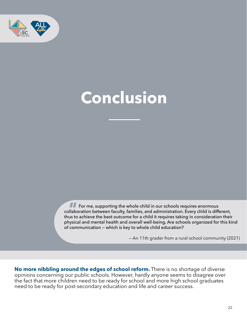

## **Conclusion**

For me, supporting the whole child in our schools requires enormous collaboration between faculty, families, and administration. Every child is different, thus to achieve the best outcome for a child it requires taking in consideration their physical and mental health and overall well-being. Are schools organized for this kind of communication — which is key to whole child education?

— An 11th grader from a rural school community (2021)

**No more nibbling around the edges of school reform.** There is no shortage of diverse opinions concerning our public schools. However, hardly anyone seems to disagree over the fact that more children need to be ready for school and more high school graduates need to be ready for post-secondary education and life and career success.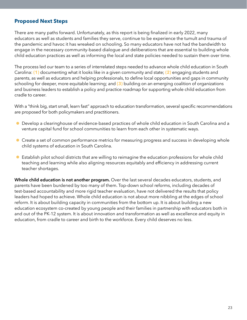#### **Proposed Next Steps**

There are many paths forward. Unfortunately, as this report is being finalized in early 2022, many educators as well as students and families they serve, continue to be experience the tumult and trauma of the pandemic and havoc it has wreaked on schooling. So many educators have not had the bandwidth to engage in the necessary community-based dialogue and deliberations that are essential to building whole child education practices as well as informing the local and state policies needed to sustain them over time.

The process led our team to a series of interrelated steps needed to advance whole child education in South Carolina: **(1)** documenting what it looks like in a given community and state; **(2)** engaging students and parents, as well as educators and helping professionals, to define local opportunities and gaps in community schooling for deeper, more equitable learning; and **(3)** building on an emerging coalition of organizations and business leaders to establish a policy and practice roadmap for supporting whole child education from cradle to career.

With a "think big, start small, learn fast" approach to education transformation, several specific recommendations are proposed for both policymakers and practitioners.

- Develop a clearinghouse of evidence-based practices of whole child education in South Carolina and a venture capital fund for school communities to learn from each other in systematic ways.
- Create a set of common performance metrics for measuring progress and success in developing whole child systems of education in South Carolina.
- Establish pilot school districts that are willing to reimagine the education professions for whole child teaching and learning while also aligning resources equitably and efficiency in addressing current teacher shortages.

Whole child education is not another program. Over the last several decades educators, students, and parents have been burdened by too many of them. Top-down school reforms, including decades of test-based accountability and more rigid teacher evaluation, have not delivered the results that policy leaders had hoped to achieve. Whole child education is not about more nibbling at the edges of school reform. It is about building capacity in communities from the bottom up. It is about building a new education ecosystem co-created by young people and their families in partnership with educators both in and out of the PK-12 system. It is about innovation and transformation as well as excellence and equity in education, from cradle to career and birth to the workforce. Every child deserves no less.